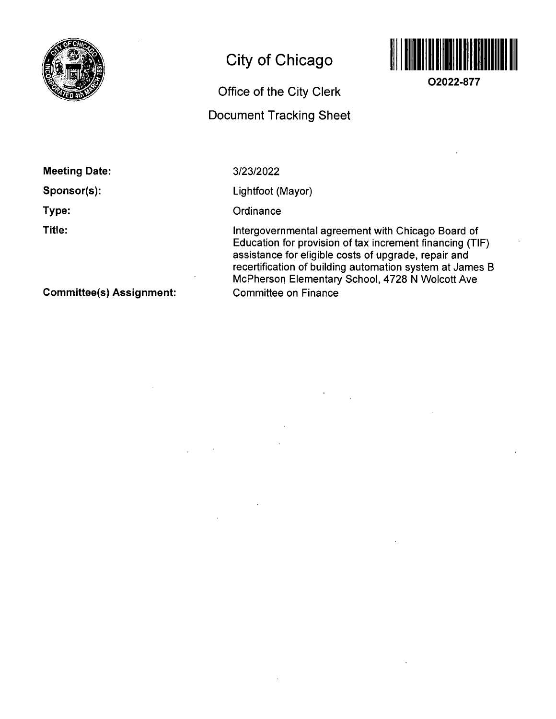

# **City of Chicago**

## **Office of the City Clerk**

## **Document Tracking Sheet**



**O2022-877** 

**Meeting Date:** 

**Sponsor(s):** 

**Type:** 

**Title:** 

3/23/2022

Lightfoot (Mayor)

**Ordinance** 

Intergovernmental agreemenf wifh Chicago Board of Education for provision of tax increment financing (TIF) assistance for eligible costs of upgrade, repair and recertification of building automation system af James B McPherson Elementary School, 4728 N Wolcott Ave Committee on Finance

**Committee(s) Assignment:**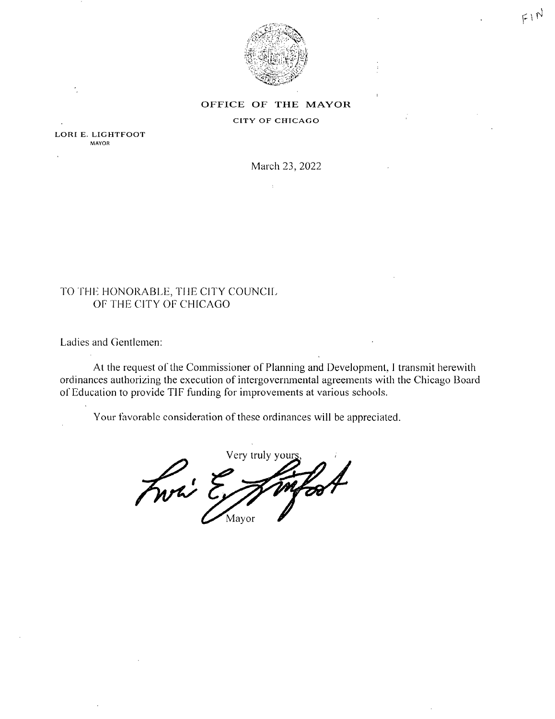

 $F1N$ 

## OFFICE OF THE MAYOR

#### **CITY OF CHICAGO**

 $\ddot{\phantom{a}}$ 

LORI E. LIGHTFOOT **MAYOR** 

March 23, 2022

## TO THE HONORABLE, THE CITY COUNCIL OF THE CITY OF CHICAGO

Ladies and Gentlemen:

At the request of the Commissioner of Planning and Development, I transmit herewith ordinances authorizing the execution of intergovernmental agreements with the Chicago Board of Education to provide TIF funding for improvements at various schools.

Your favorable consideration of these ordinances will be appreciated.

Very truly your Fwri Er Mayor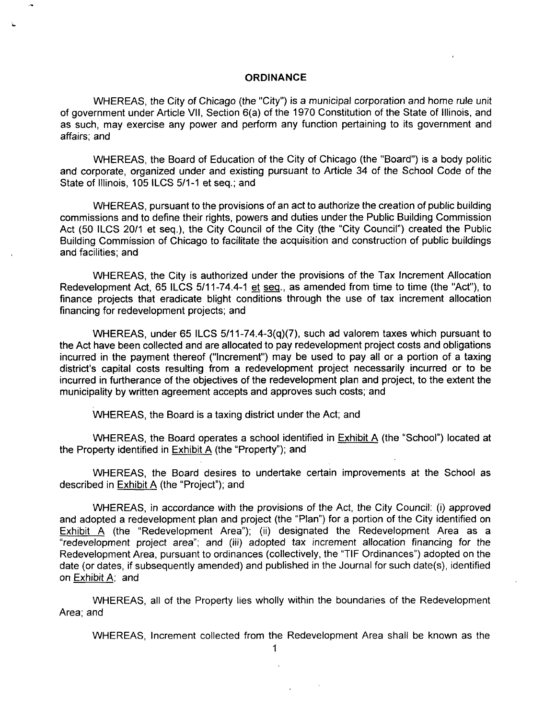### **ORDINANCE**

WHEREAS, the City of Chicago (the "City") is a municipal corporation and home rule unit of government under Article VII, Section 6(a) of the 1970 Constitution of the State of Illinois, and as such, may exercise any power and perform any function pertaining to its government and affairs; and

WHEREAS, the Board of Education of the City of Chicago (the "Board") is a body politic and corporate, organized under and existing pursuant to Article 34 of the School Code of the State of Illinois, 105 ILCS 5/1-1 et seq.; and

WHEREAS, pursuant to the provisions of an act to authorize the creation of public building commissions and to define their rights, powers and duties under the Public Building Commission Act (50 ILCS 20/1 et seq.), the City Council of the City (the "City Council") created the Public Building Commission of Chicago to facilitate the acquisition and construction of public buildings and facilities; and

WHEREAS, the City is authorized under the provisions of the Tax Increment Allocation Redevelopment Act, 65 ILCS 5/11-74.4-1 et seq.. as amended from time to time (the "Act"), to finance projects that eradicate blight conditions through the use of tax increment allocation financing for redevelopment projects; and

WHEREAS, under 65 ILCS 5/11-74.4-3(q)(7), such ad valorem taxes which pursuant to the Act have been collected and are allocated to pay redevelopment project costs and obligations incurred in the payment thereof ("Increment") may be used to pay all or a portion of a taxing district's capital costs resulting from a redevelopment project necessarily incurred or to be incurred in furtherance of the objectives of the redevelopment plan and project, to the extent the municipality by written agreement accepts and approves such costs; and

WHEREAS, the Board is a taxing district under the Act; and

WHEREAS, the Board operates a school identified in Exhibit A (the "School") located at the Property identified in Exhibit A (the "Property"); and

WHEREAS, the Board desires to undertake certain improvements at the School as described in Exhibit A (the "Project"); and

WHEREAS, in accordance with the provisions of the Act, the City Council: (i) approved and adopted a redevelopment plan and project (the "Plan") for a portion of the City identified on Exhibit A (the "Redevelopment Area"); (ii) designated the Redevelopment Area as a "redevelopment project area"; and (iii) adopted tax increment allocation financing for the Redevelopment Area, pursuant to ordinances (collectively, the "TIF Ordinances") adopted on the date (or dates, if subsequently amended) and published in the Journal for such date(s), identified on Exhibit A; and

WHEREAS, all of the Property lies wholly within the boundaries of the Redevelopment Area; and

WHEREAS, Increment collected from the Redevelopment Area shall be known as the

1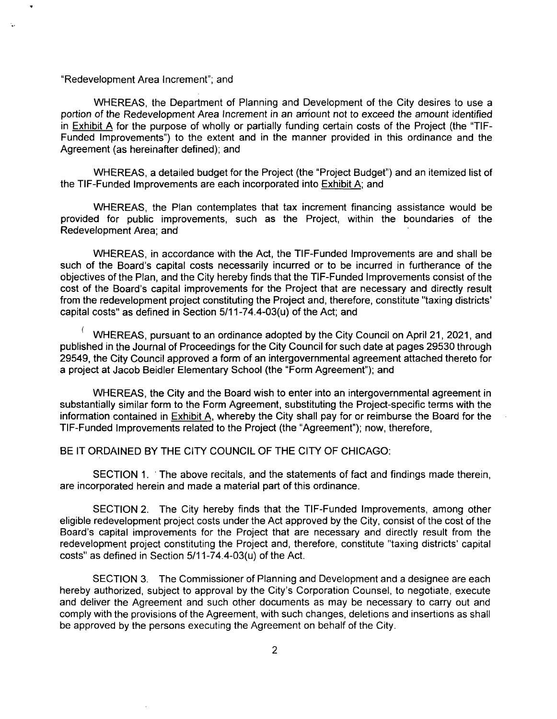"Redevelopment Area Increment"; and

WHEREAS, the Department of Planning and Development of the City desires to use a portion of the Redevelopment Area Increment in an amount not to exceed the amount identified in Exhibit A for the purpose of wholly or partially funding certain costs of the Project (the "TIF-Funded Improvements") to the extent and in the manner provided in this ordinance and the Agreement (as hereinafter defined); and

WHEREAS, a detailed budget for the Project (the "Project Budget") and an itemized list of the TIF-Funded Improvements are each incorporated into Exhibit A; and

WHEREAS, the Plan contemplates that tax increment financing assistance would be provided for public improvements, such as the Project, within the boundaries of the Redevelopment Area; and

WHEREAS, in accordance with the Act, the TIF-Funded Improvements are and shall be such of the Board's capital costs necessarily incurred or to be incurred in furtherance of the objectives of the Plan, and the City hereby finds that the TIF-Funded Improvements consist of the cost of the Board's capital improvements for the Project that are necessary and directly result from the redevelopment project constituting the Project and, therefore, constitute "taxing districts' capital costs" as defined in Section  $5/11-74.4-03(u)$  of the Act; and

• WHEREAS, pursuant to an ordinance adopted by the City Council on April 21, 2021, and published in the Journal of Proceedings for the City Council for such date at pages 29530 through 29549, the City Council approved a form of an intergovernmental agreement attached thereto for a project at Jacob Beidler Elementary School (the "Form Agreement"); and

WHEREAS, the City and the Board wish to enter into an intergovernmental agreement in substantially similar form to the Form Agreement, substituting the Project-specific terms with the information contained in Exhibit A, whereby the City shall pay for or reimburse the Board for the TIF-Funded Improvements related to the Project (the "Agreement"); now, therefore,

### BE IT ORDAINED BY THE CITY COUNCIL OF THE CITY OF CHICAGO:

SECTION 1. The above recitals, and the statements of fact and findings made therein, are incorporated herein and made a material part of this ordinance,

SECTION 2, The City hereby finds that the TIF-Funded Improvements, among other eligible redevelopment project costs under the Act approved by the City, consist of the cost of the Board's capital improvements for the Project that are necessary and directly result from the redevelopment project constituting the Project and, therefore, constitute "taxing districts' capital costs" as defined in Section  $5/11-74.4-03(u)$  of the Act.

SECTION 3, The Commissioner of Planning and Development and a designee are each hereby authorized, subject to approval by the City's Corporation Counsel, to negotiate, execute and deliver the Agreement and such other documents as may be necessary to carry out and comply with the provisions of the Agreement, with such changes, deletions and insertions as shall be approved by the persons executing the Agreement on behalf of the City.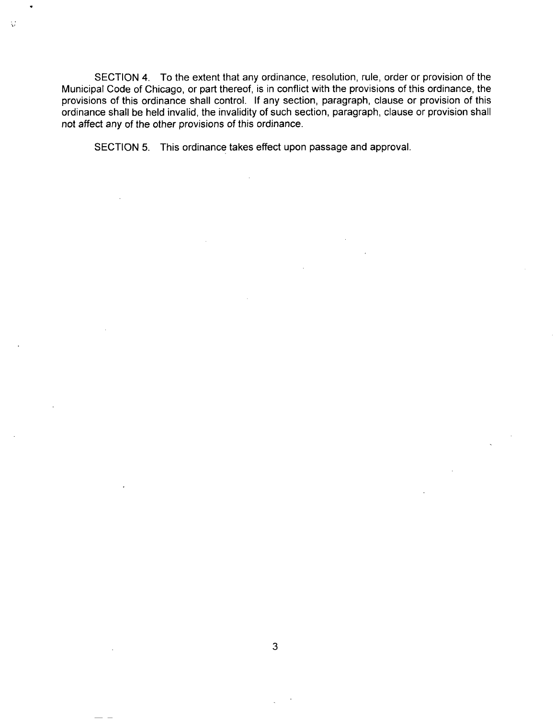SECTION 4. To the extent that any ordinance, resolution, rule, order or provision of the Municipal Code of Chicago, or part thereof, is in conflict with the provisions of this ordinance, the provisions of this ordinance shall control. If any section, paragraph, clause or provision of this ordinance shall be held invalid, the invalidity of such section, paragraph, clause or provision shall not affect any of the other provisions of this ordinance.

SECTION 5. This ordinance takes effect upon passage and approval.

Ò,

3